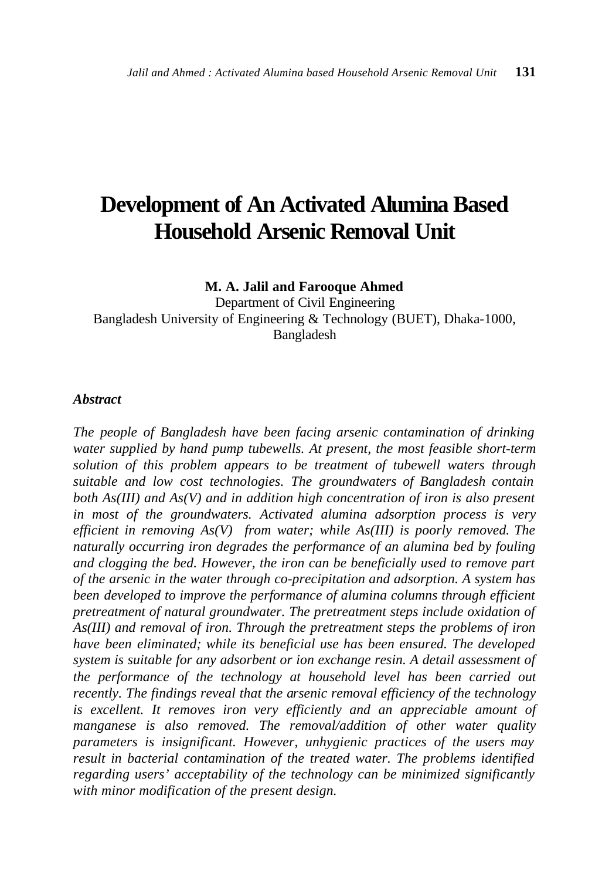# **Development of An Activated Alumina Based Household Arsenic Removal Unit**

**M. A. Jalil and Farooque Ahmed**

Department of Civil Engineering Bangladesh University of Engineering & Technology (BUET), Dhaka-1000, Bangladesh

#### *Abstract*

*The people of Bangladesh have been facing arsenic contamination of drinking water supplied by hand pump tubewells. At present, the most feasible short-term solution of this problem appears to be treatment of tubewell waters through suitable and low cost technologies. The groundwaters of Bangladesh contain both As(III) and As(V) and in addition high concentration of iron is also present in most of the groundwaters. Activated alumina adsorption process is very efficient in removing As(V) from water; while As(III) is poorly removed. The naturally occurring iron degrades the performance of an alumina bed by fouling and clogging the bed. However, the iron can be beneficially used to remove part of the arsenic in the water through co-precipitation and adsorption. A system has been developed to improve the performance of alumina columns through efficient pretreatment of natural groundwater. The pretreatment steps include oxidation of As(III) and removal of iron. Through the pretreatment steps the problems of iron have been eliminated; while its beneficial use has been ensured. The developed system is suitable for any adsorbent or ion exchange resin. A detail assessment of the performance of the technology at household level has been carried out recently. The findings reveal that the arsenic removal efficiency of the technology is excellent. It removes iron very efficiently and an appreciable amount of manganese is also removed. The removal/addition of other water quality parameters is insignificant. However, unhygienic practices of the users may result in bacterial contamination of the treated water. The problems identified regarding users' acceptability of the technology can be minimized significantly with minor modification of the present design.*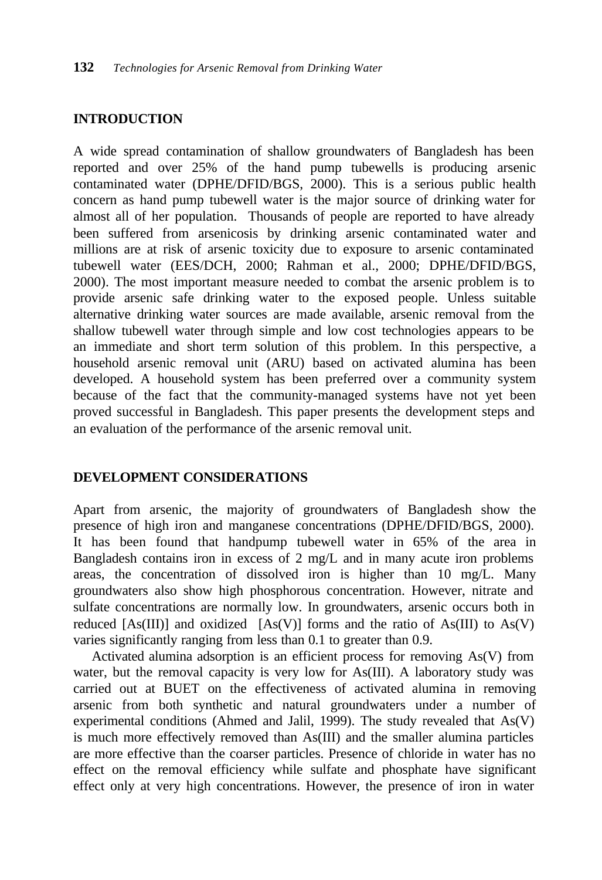#### **INTRODUCTION**

A wide spread contamination of shallow groundwaters of Bangladesh has been reported and over 25% of the hand pump tubewells is producing arsenic contaminated water (DPHE/DFID/BGS, 2000). This is a serious public health concern as hand pump tubewell water is the major source of drinking water for almost all of her population. Thousands of people are reported to have already been suffered from arsenicosis by drinking arsenic contaminated water and millions are at risk of arsenic toxicity due to exposure to arsenic contaminated tubewell water (EES/DCH, 2000; Rahman et al., 2000; DPHE/DFID/BGS, 2000). The most important measure needed to combat the arsenic problem is to provide arsenic safe drinking water to the exposed people. Unless suitable alternative drinking water sources are made available, arsenic removal from the shallow tubewell water through simple and low cost technologies appears to be an immediate and short term solution of this problem. In this perspective, a household arsenic removal unit (ARU) based on activated alumina has been developed. A household system has been preferred over a community system because of the fact that the community-managed systems have not yet been proved successful in Bangladesh. This paper presents the development steps and an evaluation of the performance of the arsenic removal unit.

#### **DEVELOPMENT CONSIDERATIONS**

Apart from arsenic, the majority of groundwaters of Bangladesh show the presence of high iron and manganese concentrations (DPHE/DFID/BGS, 2000). It has been found that handpump tubewell water in 65% of the area in Bangladesh contains iron in excess of 2 mg/L and in many acute iron problems areas, the concentration of dissolved iron is higher than 10 mg/L. Many groundwaters also show high phosphorous concentration. However, nitrate and sulfate concentrations are normally low. In groundwaters, arsenic occurs both in reduced  $[As(III)]$  and oxidized  $[As(V)]$  forms and the ratio of As $(III)$  to As $(V)$ varies significantly ranging from less than 0.1 to greater than 0.9.

 Activated alumina adsorption is an efficient process for removing As(V) from water, but the removal capacity is very low for As(III). A laboratory study was carried out at BUET on the effectiveness of activated alumina in removing arsenic from both synthetic and natural groundwaters under a number of experimental conditions (Ahmed and Jalil, 1999). The study revealed that As(V) is much more effectively removed than As(III) and the smaller alumina particles are more effective than the coarser particles. Presence of chloride in water has no effect on the removal efficiency while sulfate and phosphate have significant effect only at very high concentrations. However, the presence of iron in water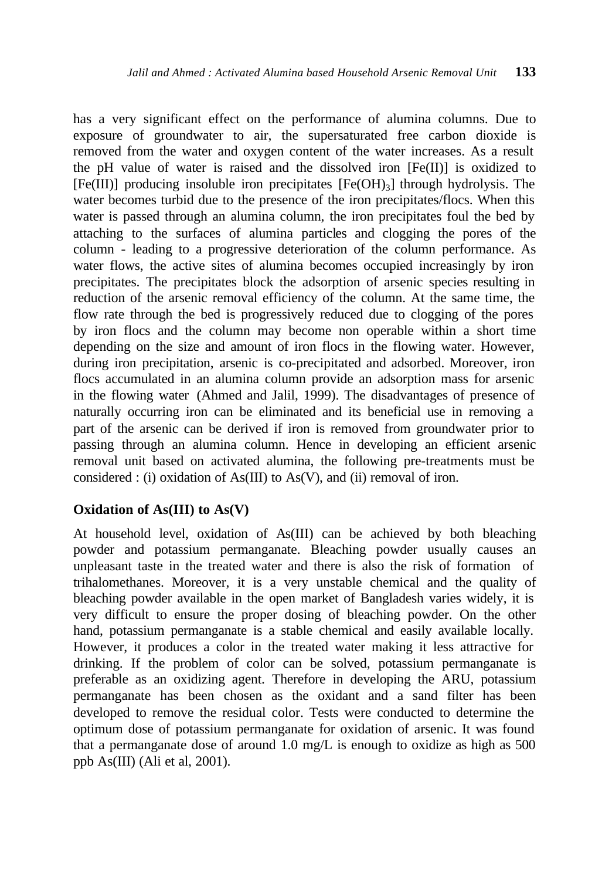has a very significant effect on the performance of alumina columns. Due to exposure of groundwater to air, the supersaturated free carbon dioxide is removed from the water and oxygen content of the water increases. As a result the pH value of water is raised and the dissolved iron  $[Fe(II)]$  is oxidized to  $[Fe(III)]$  producing insoluble iron precipitates  $[Fe(OH)<sub>3</sub>]$  through hydrolysis. The water becomes turbid due to the presence of the iron precipitates/flocs. When this water is passed through an alumina column, the iron precipitates foul the bed by attaching to the surfaces of alumina particles and clogging the pores of the column - leading to a progressive deterioration of the column performance. As water flows, the active sites of alumina becomes occupied increasingly by iron precipitates. The precipitates block the adsorption of arsenic species resulting in reduction of the arsenic removal efficiency of the column. At the same time, the flow rate through the bed is progressively reduced due to clogging of the pores by iron flocs and the column may become non operable within a short time depending on the size and amount of iron flocs in the flowing water. However, during iron precipitation, arsenic is co-precipitated and adsorbed. Moreover, iron flocs accumulated in an alumina column provide an adsorption mass for arsenic in the flowing water (Ahmed and Jalil, 1999). The disadvantages of presence of naturally occurring iron can be eliminated and its beneficial use in removing a part of the arsenic can be derived if iron is removed from groundwater prior to passing through an alumina column. Hence in developing an efficient arsenic removal unit based on activated alumina, the following pre-treatments must be considered : (i) oxidation of As(III) to As(V), and (ii) removal of iron.

# **Oxidation of As(III) to As(V)**

At household level, oxidation of As(III) can be achieved by both bleaching powder and potassium permanganate. Bleaching powder usually causes an unpleasant taste in the treated water and there is also the risk of formation of trihalomethanes. Moreover, it is a very unstable chemical and the quality of bleaching powder available in the open market of Bangladesh varies widely, it is very difficult to ensure the proper dosing of bleaching powder. On the other hand, potassium permanganate is a stable chemical and easily available locally. However, it produces a color in the treated water making it less attractive for drinking. If the problem of color can be solved, potassium permanganate is preferable as an oxidizing agent. Therefore in developing the ARU, potassium permanganate has been chosen as the oxidant and a sand filter has been developed to remove the residual color. Tests were conducted to determine the optimum dose of potassium permanganate for oxidation of arsenic. It was found that a permanganate dose of around 1.0 mg/L is enough to oxidize as high as 500 ppb As(III) (Ali et al, 2001).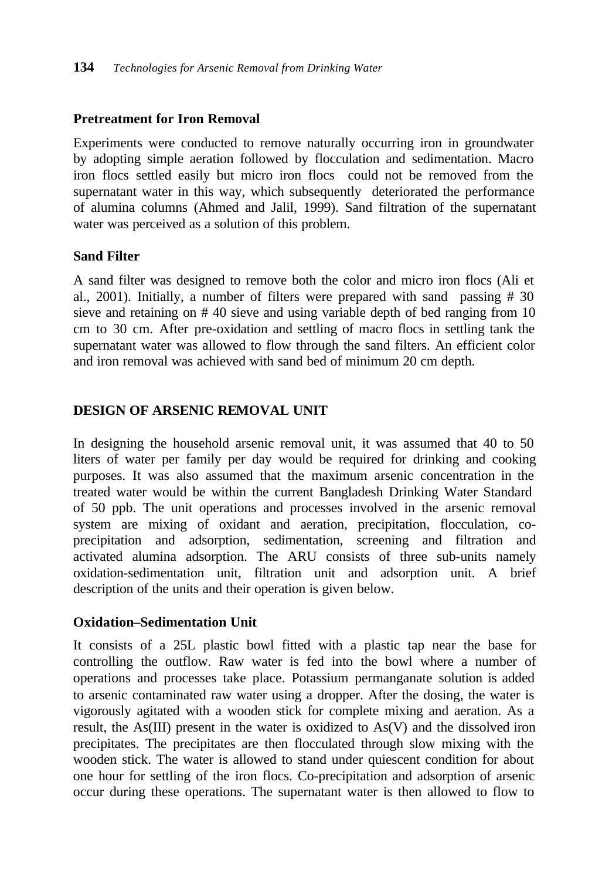# **Pretreatment for Iron Removal**

Experiments were conducted to remove naturally occurring iron in groundwater by adopting simple aeration followed by flocculation and sedimentation. Macro iron flocs settled easily but micro iron flocs could not be removed from the supernatant water in this way, which subsequently deteriorated the performance of alumina columns (Ahmed and Jalil, 1999). Sand filtration of the supernatant water was perceived as a solution of this problem.

# **Sand Filter**

A sand filter was designed to remove both the color and micro iron flocs (Ali et al., 2001). Initially, a number of filters were prepared with sand passing # 30 sieve and retaining on # 40 sieve and using variable depth of bed ranging from 10 cm to 30 cm. After pre-oxidation and settling of macro flocs in settling tank the supernatant water was allowed to flow through the sand filters. An efficient color and iron removal was achieved with sand bed of minimum 20 cm depth.

# **DESIGN OF ARSENIC REMOVAL UNIT**

In designing the household arsenic removal unit, it was assumed that 40 to 50 liters of water per family per day would be required for drinking and cooking purposes. It was also assumed that the maximum arsenic concentration in the treated water would be within the current Bangladesh Drinking Water Standard of 50 ppb. The unit operations and processes involved in the arsenic removal system are mixing of oxidant and aeration, precipitation, flocculation, coprecipitation and adsorption, sedimentation, screening and filtration and activated alumina adsorption. The ARU consists of three sub-units namely oxidation-sedimentation unit, filtration unit and adsorption unit. A brief description of the units and their operation is given below.

# **Oxidation–Sedimentation Unit**

It consists of a 25L plastic bowl fitted with a plastic tap near the base for controlling the outflow. Raw water is fed into the bowl where a number of operations and processes take place. Potassium permanganate solution is added to arsenic contaminated raw water using a dropper. After the dosing, the water is vigorously agitated with a wooden stick for complete mixing and aeration. As a result, the As(III) present in the water is oxidized to As(V) and the dissolved iron precipitates. The precipitates are then flocculated through slow mixing with the wooden stick. The water is allowed to stand under quiescent condition for about one hour for settling of the iron flocs. Co-precipitation and adsorption of arsenic occur during these operations. The supernatant water is then allowed to flow to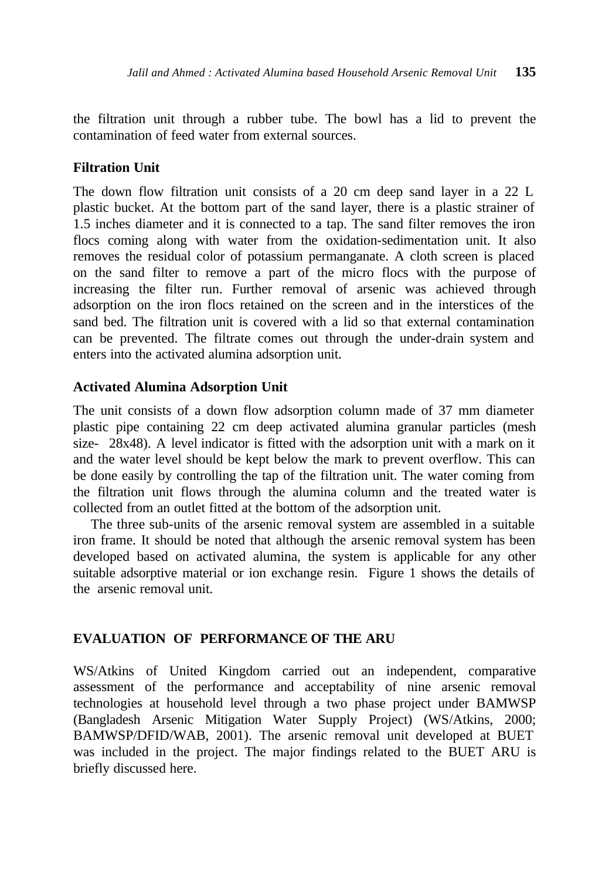the filtration unit through a rubber tube. The bowl has a lid to prevent the contamination of feed water from external sources.

#### **Filtration Unit**

The down flow filtration unit consists of a 20 cm deep sand layer in a 22 L plastic bucket. At the bottom part of the sand layer, there is a plastic strainer of 1.5 inches diameter and it is connected to a tap. The sand filter removes the iron flocs coming along with water from the oxidation-sedimentation unit. It also removes the residual color of potassium permanganate. A cloth screen is placed on the sand filter to remove a part of the micro flocs with the purpose of increasing the filter run. Further removal of arsenic was achieved through adsorption on the iron flocs retained on the screen and in the interstices of the sand bed. The filtration unit is covered with a lid so that external contamination can be prevented. The filtrate comes out through the under-drain system and enters into the activated alumina adsorption unit.

#### **Activated Alumina Adsorption Unit**

The unit consists of a down flow adsorption column made of 37 mm diameter plastic pipe containing 22 cm deep activated alumina granular particles (mesh size- 28x48). A level indicator is fitted with the adsorption unit with a mark on it and the water level should be kept below the mark to prevent overflow. This can be done easily by controlling the tap of the filtration unit. The water coming from the filtration unit flows through the alumina column and the treated water is collected from an outlet fitted at the bottom of the adsorption unit.

 The three sub-units of the arsenic removal system are assembled in a suitable iron frame. It should be noted that although the arsenic removal system has been developed based on activated alumina, the system is applicable for any other suitable adsorptive material or ion exchange resin. Figure 1 shows the details of the arsenic removal unit.

#### **EVALUATION OF PERFORMANCE OF THE ARU**

WS/Atkins of United Kingdom carried out an independent, comparative assessment of the performance and acceptability of nine arsenic removal technologies at household level through a two phase project under BAMWSP (Bangladesh Arsenic Mitigation Water Supply Project) (WS/Atkins, 2000; BAMWSP/DFID/WAB, 2001). The arsenic removal unit developed at BUET was included in the project. The major findings related to the BUET ARU is briefly discussed here.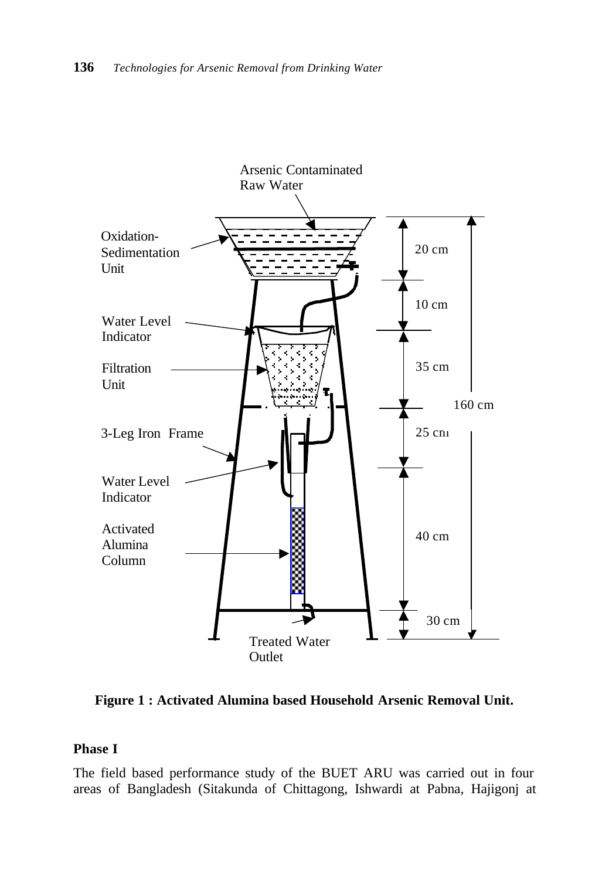

**Figure 1 : Activated Alumina based Household Arsenic Removal Unit.**

# **Phase I**

The field based performance study of the BUET ARU was carried out in four areas of Bangladesh (Sitakunda of Chittagong, Ishwardi at Pabna, Hajigonj at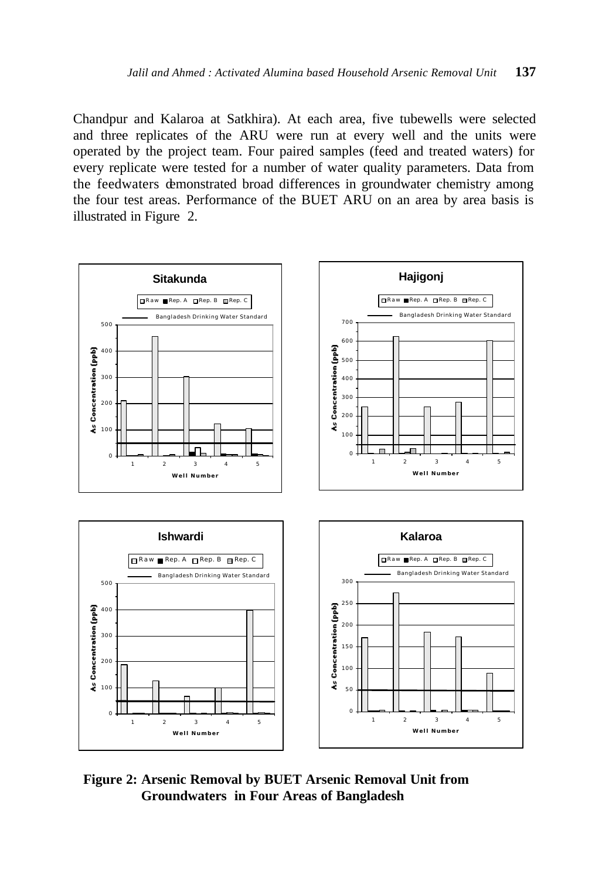Chandpur and Kalaroa at Satkhira). At each area, five tubewells were selected and three replicates of the ARU were run at every well and the units were operated by the project team. Four paired samples (feed and treated waters) for every replicate were tested for a number of water quality parameters. Data from the feedwaters demonstrated broad differences in groundwater chemistry among the four test areas. Performance of the BUET ARU on an area by area basis is illustrated in Figure 2.



**Figure 2: Arsenic Removal by BUET Arsenic Removal Unit from Groundwaters in Four Areas of Bangladesh**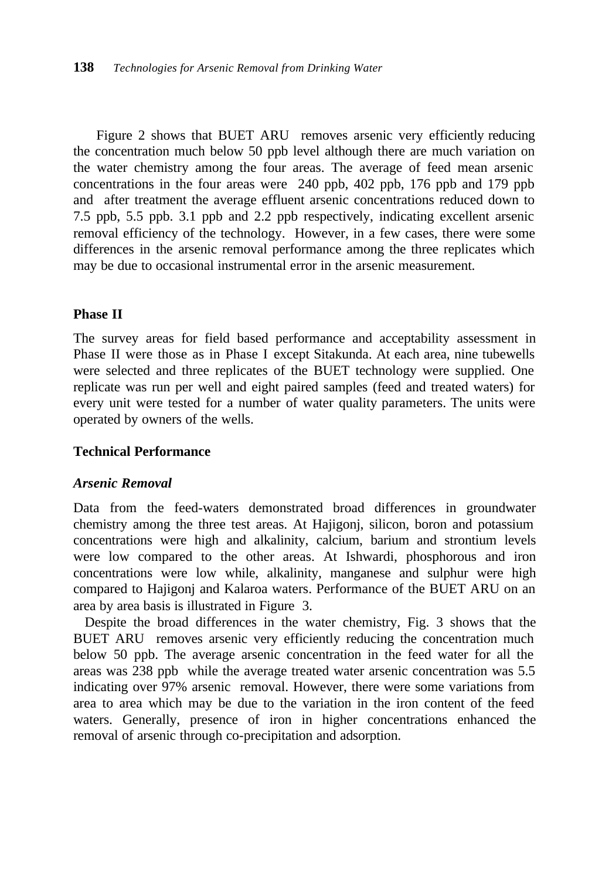Figure 2 shows that BUET ARU removes arsenic very efficiently reducing the concentration much below 50 ppb level although there are much variation on the water chemistry among the four areas. The average of feed mean arsenic concentrations in the four areas were 240 ppb, 402 ppb, 176 ppb and 179 ppb and after treatment the average effluent arsenic concentrations reduced down to 7.5 ppb, 5.5 ppb. 3.1 ppb and 2.2 ppb respectively, indicating excellent arsenic removal efficiency of the technology. However, in a few cases, there were some differences in the arsenic removal performance among the three replicates which may be due to occasional instrumental error in the arsenic measurement.

# **Phase II**

The survey areas for field based performance and acceptability assessment in Phase II were those as in Phase I except Sitakunda. At each area, nine tubewells were selected and three replicates of the BUET technology were supplied. One replicate was run per well and eight paired samples (feed and treated waters) for every unit were tested for a number of water quality parameters. The units were operated by owners of the wells.

# **Technical Performance**

#### *Arsenic Removal*

Data from the feed-waters demonstrated broad differences in groundwater chemistry among the three test areas. At Hajigonj, silicon, boron and potassium concentrations were high and alkalinity, calcium, barium and strontium levels were low compared to the other areas. At Ishwardi, phosphorous and iron concentrations were low while, alkalinity, manganese and sulphur were high compared to Hajigonj and Kalaroa waters. Performance of the BUET ARU on an area by area basis is illustrated in Figure 3.

 Despite the broad differences in the water chemistry, Fig. 3 shows that the BUET ARU removes arsenic very efficiently reducing the concentration much below 50 ppb. The average arsenic concentration in the feed water for all the areas was 238 ppb while the average treated water arsenic concentration was 5.5 indicating over 97% arsenic removal. However, there were some variations from area to area which may be due to the variation in the iron content of the feed waters. Generally, presence of iron in higher concentrations enhanced the removal of arsenic through co-precipitation and adsorption.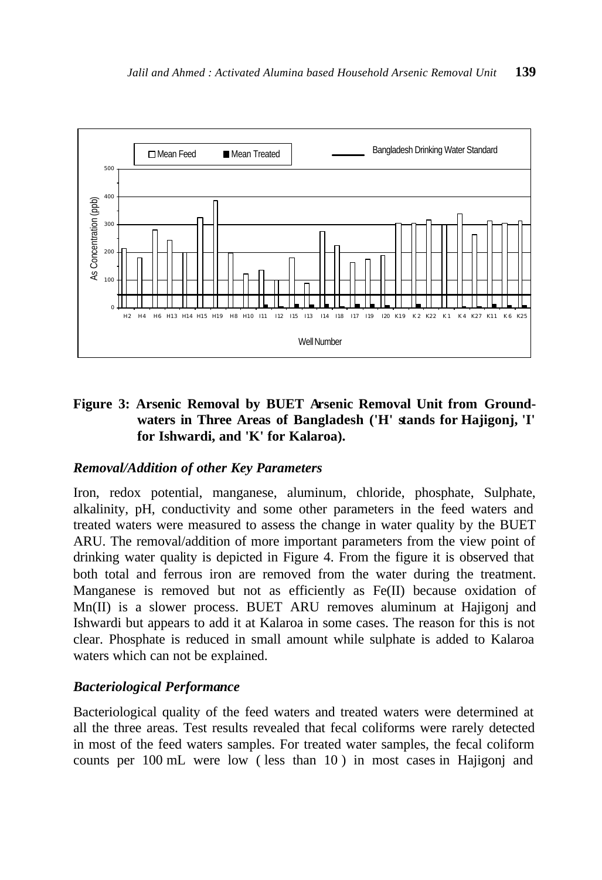

# **Figure 3: Arsenic Removal by BUET Arsenic Removal Unit from Groundwaters in Three Areas of Bangladesh ('H' stands for Hajigonj, 'I' for Ishwardi, and 'K' for Kalaroa).**

# *Removal/Addition of other Key Parameters*

Iron, redox potential, manganese, aluminum, chloride, phosphate, Sulphate, alkalinity, pH, conductivity and some other parameters in the feed waters and treated waters were measured to assess the change in water quality by the BUET ARU. The removal/addition of more important parameters from the view point of drinking water quality is depicted in Figure 4. From the figure it is observed that both total and ferrous iron are removed from the water during the treatment. Manganese is removed but not as efficiently as  $Fe(II)$  because oxidation of Mn(II) is a slower process. BUET ARU removes aluminum at Hajigonj and Ishwardi but appears to add it at Kalaroa in some cases. The reason for this is not clear. Phosphate is reduced in small amount while sulphate is added to Kalaroa waters which can not be explained.

#### *Bacteriological Performance*

Bacteriological quality of the feed waters and treated waters were determined at all the three areas. Test results revealed that fecal coliforms were rarely detected in most of the feed waters samples. For treated water samples, the fecal coliform counts per 100 mL were low ( less than 10 ) in most cases in Hajigonj and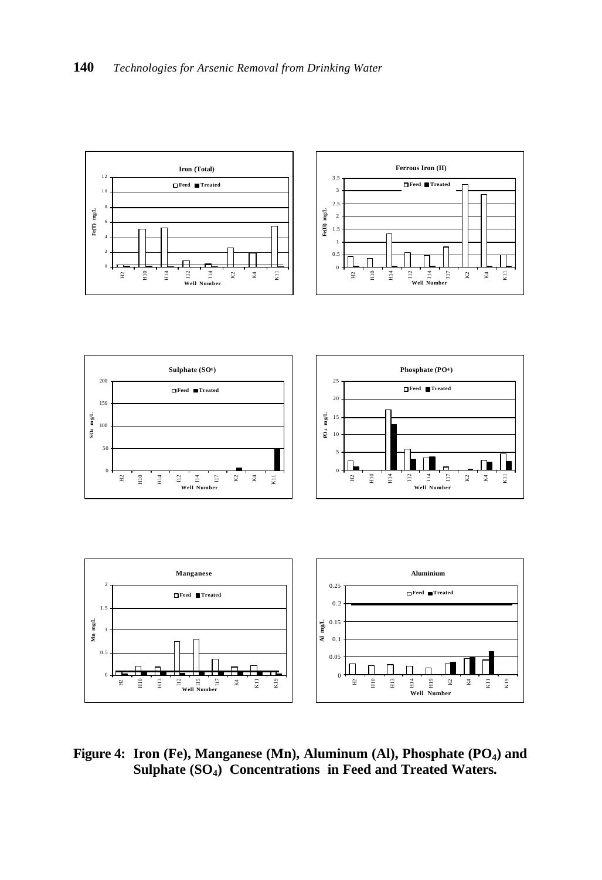I12 I14 **Well Number**





**Figure 4: Iron (Fe), Manganese (Mn), Aluminum (Al), Phosphate (PO<sup>4</sup> ) and Sulphate (SO<sup>4</sup> ) Concentrations in Feed and Treated Waters.**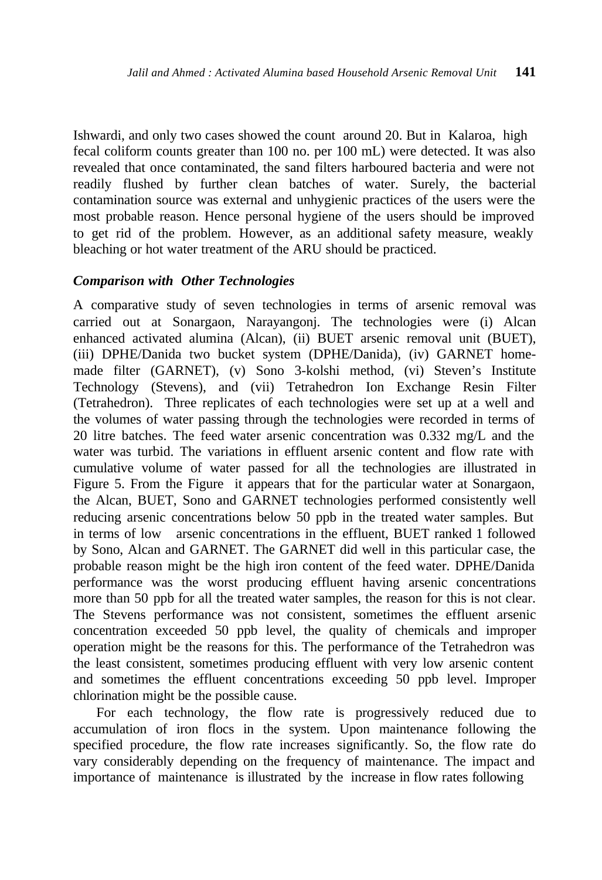Ishwardi, and only two cases showed the count around 20. But in Kalaroa, high fecal coliform counts greater than 100 no. per 100 mL) were detected. It was also revealed that once contaminated, the sand filters harboured bacteria and were not readily flushed by further clean batches of water. Surely, the bacterial contamination source was external and unhygienic practices of the users were the most probable reason. Hence personal hygiene of the users should be improved to get rid of the problem. However, as an additional safety measure, weakly bleaching or hot water treatment of the ARU should be practiced.

#### *Comparison with Other Technologies*

A comparative study of seven technologies in terms of arsenic removal was carried out at Sonargaon, Narayangonj. The technologies were (i) Alcan enhanced activated alumina (Alcan), (ii) BUET arsenic removal unit (BUET), (iii) DPHE/Danida two bucket system (DPHE/Danida), (iv) GARNET homemade filter (GARNET), (v) Sono 3-kolshi method, (vi) Steven's Institute Technology (Stevens), and (vii) Tetrahedron Ion Exchange Resin Filter (Tetrahedron). Three replicates of each technologies were set up at a well and the volumes of water passing through the technologies were recorded in terms of 20 litre batches. The feed water arsenic concentration was 0.332 mg/L and the water was turbid. The variations in effluent arsenic content and flow rate with cumulative volume of water passed for all the technologies are illustrated in Figure 5. From the Figure it appears that for the particular water at Sonargaon, the Alcan, BUET, Sono and GARNET technologies performed consistently well reducing arsenic concentrations below 50 ppb in the treated water samples. But in terms of low arsenic concentrations in the effluent, BUET ranked 1 followed by Sono, Alcan and GARNET. The GARNET did well in this particular case, the probable reason might be the high iron content of the feed water. DPHE/Danida performance was the worst producing effluent having arsenic concentrations more than 50 ppb for all the treated water samples, the reason for this is not clear. The Stevens performance was not consistent, sometimes the effluent arsenic concentration exceeded 50 ppb level, the quality of chemicals and improper operation might be the reasons for this. The performance of the Tetrahedron was the least consistent, sometimes producing effluent with very low arsenic content and sometimes the effluent concentrations exceeding 50 ppb level. Improper chlorination might be the possible cause.

For each technology, the flow rate is progressively reduced due to accumulation of iron flocs in the system. Upon maintenance following the specified procedure, the flow rate increases significantly. So, the flow rate do vary considerably depending on the frequency of maintenance. The impact and importance of maintenance is illustrated by the increase in flow rates following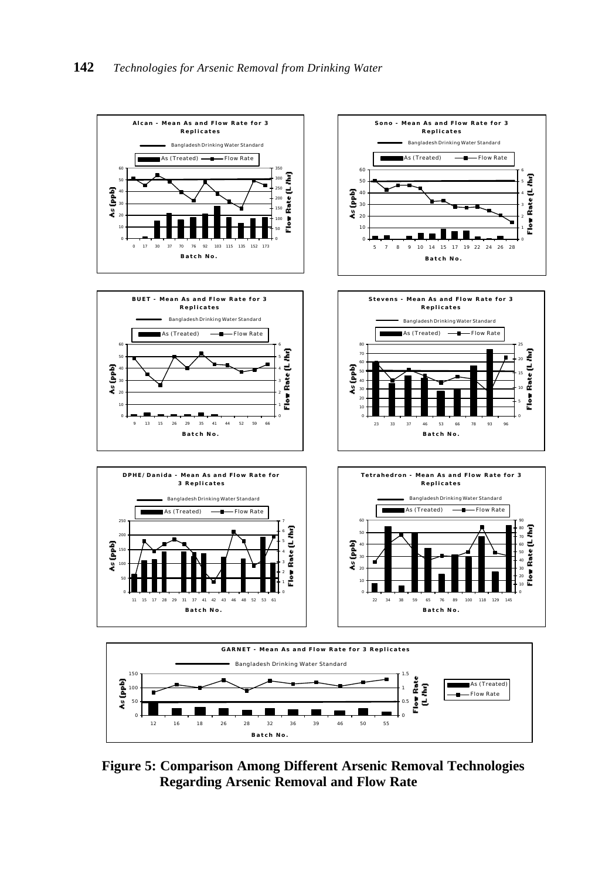

**Figure 5: Comparison Among Different Arsenic Removal Technologies Regarding Arsenic Removal and Flow Rate**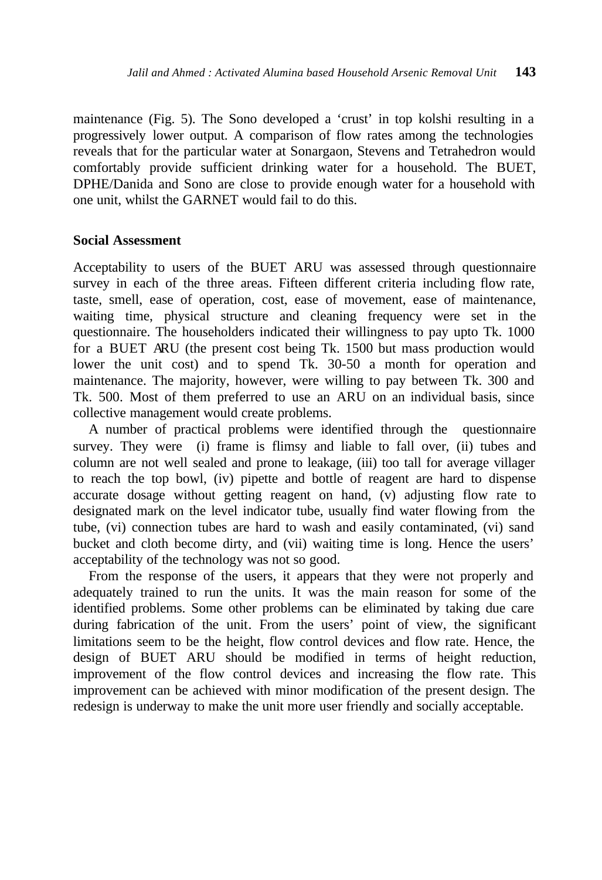maintenance (Fig. 5). The Sono developed a 'crust' in top kolshi resulting in a progressively lower output. A comparison of flow rates among the technologies reveals that for the particular water at Sonargaon, Stevens and Tetrahedron would comfortably provide sufficient drinking water for a household. The BUET, DPHE/Danida and Sono are close to provide enough water for a household with one unit, whilst the GARNET would fail to do this.

#### **Social Assessment**

Acceptability to users of the BUET ARU was assessed through questionnaire survey in each of the three areas. Fifteen different criteria including flow rate, taste, smell, ease of operation, cost, ease of movement, ease of maintenance, waiting time, physical structure and cleaning frequency were set in the questionnaire. The householders indicated their willingness to pay upto Tk. 1000 for a BUET ARU (the present cost being Tk. 1500 but mass production would lower the unit cost) and to spend Tk. 30-50 a month for operation and maintenance. The majority, however, were willing to pay between Tk. 300 and Tk. 500. Most of them preferred to use an ARU on an individual basis, since collective management would create problems.

 A number of practical problems were identified through the questionnaire survey. They were (i) frame is flimsy and liable to fall over, (ii) tubes and column are not well sealed and prone to leakage, (iii) too tall for average villager to reach the top bowl, (iv) pipette and bottle of reagent are hard to dispense accurate dosage without getting reagent on hand, (v) adjusting flow rate to designated mark on the level indicator tube, usually find water flowing from the tube, (vi) connection tubes are hard to wash and easily contaminated, (vi) sand bucket and cloth become dirty, and (vii) waiting time is long. Hence the users' acceptability of the technology was not so good.

 From the response of the users, it appears that they were not properly and adequately trained to run the units. It was the main reason for some of the identified problems. Some other problems can be eliminated by taking due care during fabrication of the unit. From the users' point of view, the significant limitations seem to be the height, flow control devices and flow rate. Hence, the design of BUET ARU should be modified in terms of height reduction, improvement of the flow control devices and increasing the flow rate. This improvement can be achieved with minor modification of the present design. The redesign is underway to make the unit more user friendly and socially acceptable.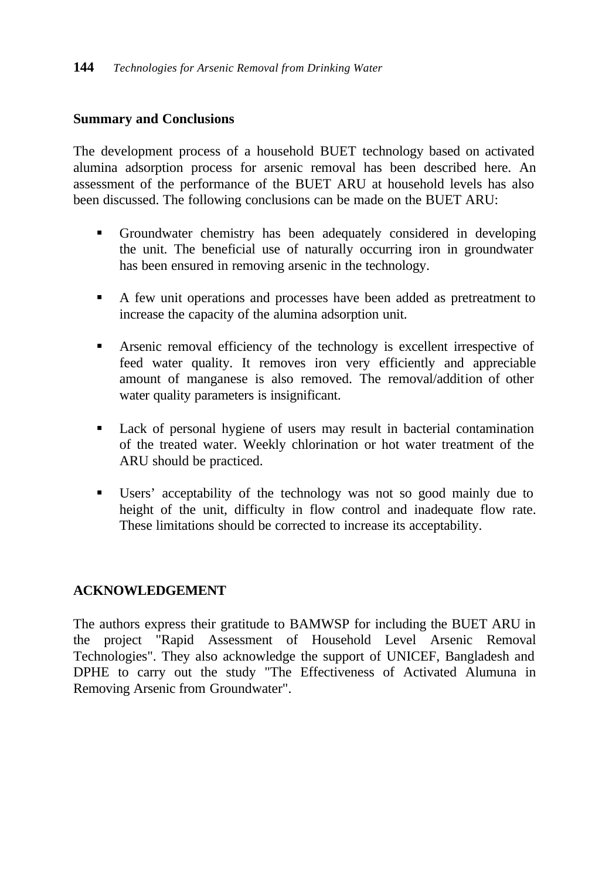# **Summary and Conclusions**

The development process of a household BUET technology based on activated alumina adsorption process for arsenic removal has been described here. An assessment of the performance of the BUET ARU at household levels has also been discussed. The following conclusions can be made on the BUET ARU:

- ß Groundwater chemistry has been adequately considered in developing the unit. The beneficial use of naturally occurring iron in groundwater has been ensured in removing arsenic in the technology.
- A few unit operations and processes have been added as pretreatment to increase the capacity of the alumina adsorption unit.
- ß Arsenic removal efficiency of the technology is excellent irrespective of feed water quality. It removes iron very efficiently and appreciable amount of manganese is also removed. The removal/addition of other water quality parameters is insignificant.
- ß Lack of personal hygiene of users may result in bacterial contamination of the treated water. Weekly chlorination or hot water treatment of the ARU should be practiced.
- ß Users' acceptability of the technology was not so good mainly due to height of the unit, difficulty in flow control and inadequate flow rate. These limitations should be corrected to increase its acceptability.

# **ACKNOWLEDGEMENT**

The authors express their gratitude to BAMWSP for including the BUET ARU in the project "Rapid Assessment of Household Level Arsenic Removal Technologies". They also acknowledge the support of UNICEF, Bangladesh and DPHE to carry out the study "The Effectiveness of Activated Alumuna in Removing Arsenic from Groundwater".